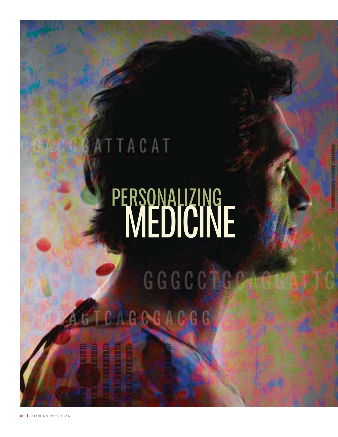# ATTACAT PERSONALIZING **WEDICINE**

GGGCCCCC **KTCAGOGAGGG** 

**18** | FLORIDA PHYSICIAN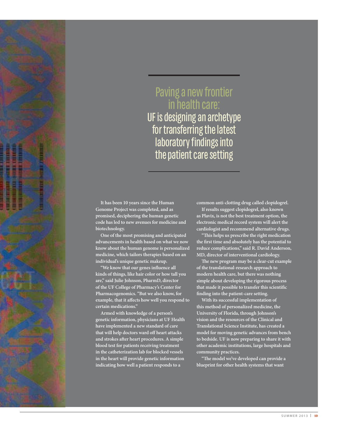### Paving a new frontier in health care:

UF is designing an archetype for transferring the latest laboratory findings into the patient care setting

**It has been 10 years since the Human Genome Project was completed, and as promised, deciphering the human genetic code has led to new avenues for medicine and biotechnology.** 

**One of the most promising and anticipated advancements in health based on what we now know about the human genome is personalized medicine, which tailors therapies based on an individual's unique genetic makeup.** 

**"We know that our genes influence all kinds of things, like hair color or how tall you are," said Julie Johnson, PharmD, director of the UF College of Pharmacy's Center for Pharmacogenomics. "But we also know, for example, that it affects how well you respond to certain medications."**

**Armed with knowledge of a person's genetic information, physicians at UF Health have implemented a new standard of care that will help doctors ward off heart attacks and strokes after heart procedures. A simple blood test for patients receiving treatment in the catheterization lab for blocked vessels in the heart will provide genetic information indicating how well a patient responds to a** 

**common anti-clotting drug called clopidogrel.**

**If results suggest clopidogrel, also known as Plavix, is not the best treatment option, the electronic medical record system will alert the cardiologist and recommend alternative drugs.** 

**"This helps us prescribe the right medication the first time and absolutely has the potential to reduce complications," said R. David Anderson, MD, director of interventional cardiology.** 

**The new program may be a clear-cut example of the translational-research approach to modern health care, but there was nothing simple about developing the rigorous process that made it possible to transfer this scientific finding into the patient-care setting.** 

**With its successful implementation of this method of personalized medicine, the University of Florida, through Johnson's vision and the resources of the Clinical and Translational Science Institute, has created a model for moving genetic advances from bench to bedside. UF is now preparing to share it with other academic institutions, large hospitals and community practices.** 

**"The model we've developed can provide a blueprint for other health systems that want**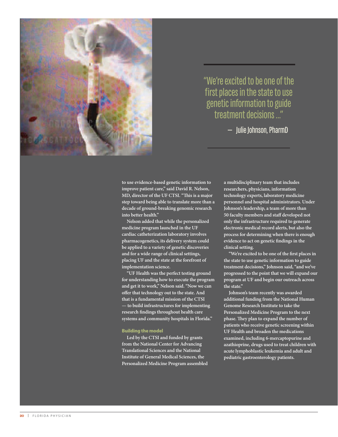

"We're excited to be one of the first places in the state to use genetic information to guide treatment decisions ..."

 $-$  Julie Johnson, PharmD

**to use evidence-based genetic information to improve patient care," said David R. Nelson, MD, director of the UF CTSI. "This is a major step toward being able to translate more than a decade of ground-breaking genomic research into better health."**

**Nelson added that while the personalized medicine program launched in the UF cardiac catheterization laboratory involves pharmacogenetics, its delivery system could be applied to a variety of genetic discoveries and for a wide range of clinical settings, placing UF and the state at the forefront of implementation science.**

**"UF Health was the perfect testing ground for understanding how to execute the program and get it to work," Nelson said. "Now we can offer that technology out to the state. And that is a fundamental mission of the CTSI — to build infrastructures for implementing research findings throughout health care systems and community hospitals in Florida."**

#### **Building the model**

**Led by the CTSI and funded by grants from the National Center for Advancing Translational Sciences and the National Institute of General Medical Sciences, the Personalized Medicine Program assembled**  **a multidisciplinary team that includes researchers, physicians, information technology experts, laboratory medicine personnel and hospital administrators. Under Johnson's leadership, a team of more than 50 faculty members and staff developed not only the infrastructure required to generate electronic medical record alerts, but also the process for determining when there is enough evidence to act on genetic findings in the clinical setting.** 

**"We're excited to be one of the first places in the state to use genetic information to guide treatment decisions," Johnson said, "and we've progressed to the point that we will expand our program at UF and begin our outreach across the state."**

**Johnson's team recently was awarded additional funding from the National Human Genome Research Institute to take the Personalized Medicine Program to the next phase. They plan to expand the number of patients who receive genetic screening within UF Health and broaden the medications examined, including 6-mercaptopurine and azathioprine, drugs used to treat children with acute lymphoblastic leukemia and adult and pediatric gastroenterology patients.**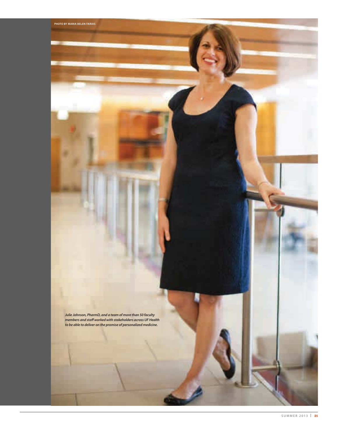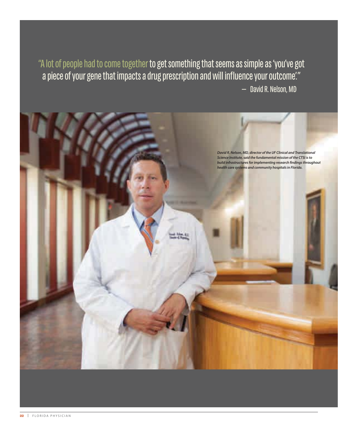"A lot of people had to come together to get something that seems as simple as 'you've got a piece of your gene that impacts a drug prescription and will influence your outcome." - David R. Nelson, MD

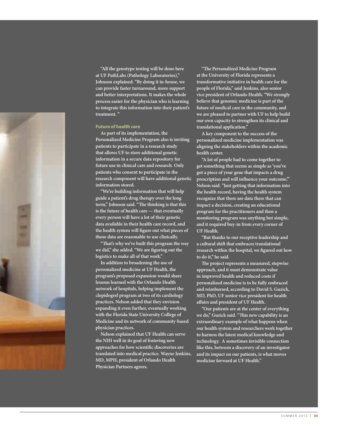

**"All the genotype testing will be done here at UF PathLabs (Pathology Laboratories)," Johnson explained. "By doing it in-house, we can provide faster turnaround, more support and better interpretations. It makes the whole process easier for the physician who is learning to integrate this information into their patient's treatment. "**

#### **Future of health care**

**As part of its implementation, the Personalized Medicine Program also is inviting patients to participate in a research study that allows UF to store additional genetic information in a secure data repository for future use in clinical care and research. Only patients who consent to participate in the research component will have additional genetic information stored.**

**"We're building information that will help guide a patient's drug therapy over the long term," Johnson said. "The thinking is that this is the future of health care — that eventually every person will have a lot of their genetic data available in their health care record, and the health system will figure out what pieces of those data are reasonable to use clinically.**

**"That's why we've built this program the way we did," she added. "We are figuring out the logistics to make all of that work."**

**In addition to broadening the use of personalized medicine at UF Health, the program's proposed expansion would share lessons learned with the Orlando Health network of hospitals, helping implement the clopidogrel program at two of its cardiology practices. Nelson added that they envision expanding it even further, eventually working with the Florida State University College of Medicine and its network of community-based physician practices.**

**Nelson explained that UF Health can serve the NIH well in its goal of fostering new approaches for how scientific discoveries are translated into medical practice. Wayne Jenkins, MD, MPH, president of Orlando Health Physician Partners agrees.**

**"The Personalized Medicine Program at the University of Florida represents a transformative initiative in health care for the people of Florida," said Jenkins, also senior vice president of Orlando Health. "We strongly believe that genomic medicine is part of the future of medical care in the community, and we are pleased to partner with UF to help build our own capacity to strengthen its clinical and translational application."**

**A key component to the success of the personalized medicine implementation was aligning the stakeholders within the academic health center.**

**"A lot of people had to come together to get something that seems as simple as 'you've got a piece of your gene that impacts a drug prescription and will influence your outcome,'" Nelson said. "Just getting that information into the health record, having the health system recognize that there are data there that can impact a decision, creating an educational program for the practitioners and then a monitoring program was anything but simple, and it required buy-in from every corner of UF Health.**

**"But thanks to our receptive leadership and a cultural shift that embraces translational research within the hospital, we figured out how to do it," he said.** 

**The project represents a measured, stepwise approach, and it must demonstrate value in improved health and reduced costs if personalized medicine is to be fully embraced and reimbursed, according to David S. Guzick, MD, PhD, UF senior vice president for health affairs and president of UF Health.**

**"Our patients are at the center of everything we do," Guzick said. "This new capability is an extraordinary example of what happens when our health system and researchers work together to harness the latest medical knowledge and technology. A sometimes invisible connection like this, between a discovery of an investigator and its impact on our patients, is what moves medicine forward at UF Health."**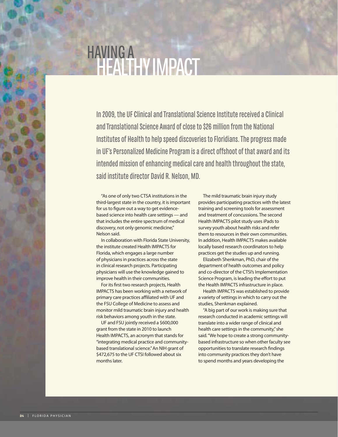## HAVING A +HEALTHY IMPACT

In 2009, the UF Clinical and Translational Science Institute received a Clinical and Translational Science Award of close to \$26 million from the National Institutes of Health to help speed discoveries to Floridians. The progress made in UF's Personalized Medicine Program is a direct offshoot of that award and its intended mission of enhancing medical care and health throughout the state, said institute director David R. Nelson, MD.

"As one of only two CTSA institutions in the third-largest state in the country, it is important for us to figure out a way to get evidencebased science into health care settings — and that includes the entire spectrum of medical discovery, not only genomic medicine," Nelson said.

In collaboration with Florida State University, the institute created Health IMPACTS for Florida, which engages a large number of physicians in practices across the state in clinical research projects. Participating physicians will use the knowledge gained to improve health in their communities.

For its first two research projects, Health IMPACTS has been working with a network of primary care practices affiliated with UF and the FSU College of Medicine to assess and monitor mild traumatic brain injury and health risk behaviors among youth in the state.

UF and FSU jointly received a \$600,000 grant from the state in 2010 to launch Health IMPACTS, an acronym that stands for "integrating medical practice and communitybased translational science." An NIH grant of \$472,675 to the UF CTSI followed about six months later.

The mild traumatic brain injury study provides participating practices with the latest training and screening tools for assessment and treatment of concussions. The second Health IMPACTS pilot study uses iPads to survey youth about health risks and refer them to resources in their own communities. In addition, Health IMPACTS makes available locally based research coordinators to help practices get the studies up and running.

Elizabeth Shenkman, PhD, chair of the department of health outcomes and policy and co-director of the CTSI's Implementation Science Program, is leading the effort to put the Health IMPACTS infrastructure in place.

Health IMPACTS was established to provide a variety of settings in which to carry out the studies, Shenkman explained.

"A big part of our work is making sure that research conducted in academic settings will translate into a wider range of clinical and health care settings in the community," she said. "We hope to create a strong communitybased infrastructure so when other faculty see opportunities to translate research findings into community practices they don't have to spend months and years developing the